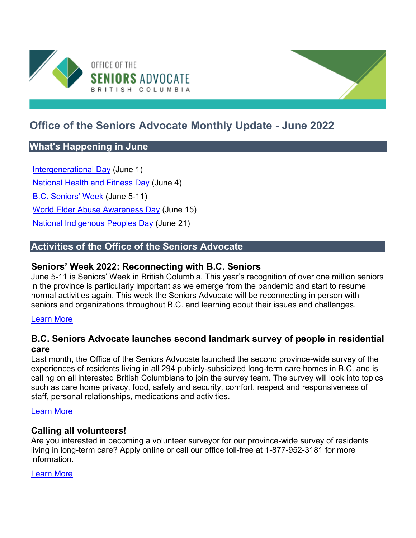

# **Office of the Seniors Advocate Monthly Update - June 2022**

# **What's Happening in June**

[Intergenerational Day](https://intergenerational.ca/ig-day/) (June 1)

[National Health and Fitness Day](https://www.nhfdcan.ca/) (June 4)

[B.C. Seniors' Week](https://www.seniorsadvocatebc.ca/osa-events/b-c-seniors-week-2022/) (June 5-11)

[World Elder Abuse Awareness Day](https://www.un.org/en/observances/elder-abuse-awareness-day) (June 15)

**[National Indigenous Peoples Day](https://www.canada.ca/en/canadian-heritage/campaigns/celebrate-canada/indigenous-peoples-day.html) (June 21)** 

# **Activities of the Office of the Seniors Advocate**

# **Seniors' Week 2022: Reconnecting with B.C. Seniors**

June 5-11 is Seniors' Week in British Columbia. This year's recognition of over one million seniors in the province is particularly important as we emerge from the pandemic and start to resume normal activities again. This week the Seniors Advocate will be reconnecting in person with seniors and organizations throughout B.C. and learning about their issues and challenges.

### [Learn More](https://www.seniorsadvocatebc.ca/app/uploads/sites/4/2022/06/Apr-3-STMT-Seniors-Week-2022.pdf)

# **B.C. Seniors Advocate launches second landmark survey of people in residential care**

Last month, the Office of the Seniors Advocate launched the second province-wide survey of the experiences of residents living in all 294 publicly-subsidized long-term care homes in B.C. and is calling on all interested British Columbians to join the survey team. The survey will look into topics such as care home privacy, food, safety and security, comfort, respect and responsiveness of staff, personal relationships, medications and activities.

### [Learn More](https://www.seniorsadvocatebc.ca/app/uploads/sites/4/2022/05/May-10-NR-LTC-Survey-Project-Launch-Volunteers-Final.pdf)

### **Calling all volunteers!**

Are you interested in becoming a volunteer surveyor for our province-wide survey of residents living in long-term care? Apply online or call our office toll-free at 1-877-952-3181 for more information.

### [Learn More](https://surveybcseniors.org/)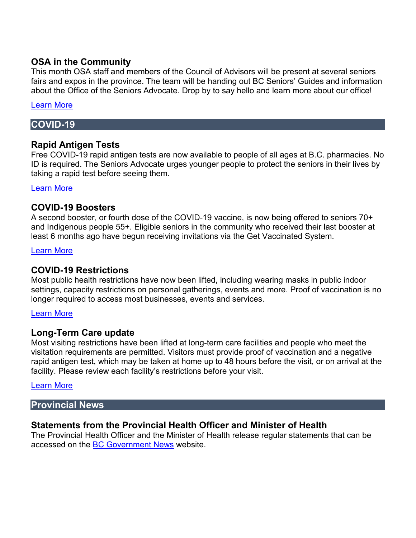# **OSA in the Community**

This month OSA staff and members of the Council of Advisors will be present at several seniors fairs and expos in the province. The team will be handing out BC Seniors' Guides and information about the Office of the Seniors Advocate. Drop by to say hello and learn more about our office!

### [Learn More](https://www.seniorsadvocatebc.ca/osa-events/b-c-seniors-week-2022/)

# **COVID-19**

# **Rapid Antigen Tests**

Free COVID-19 rapid antigen tests are now available to people of all ages at B.C. pharmacies. No ID is required. The Seniors Advocate urges younger people to protect the seniors in their lives by taking a rapid test before seeing them.

### [Learn More](https://www2.gov.bc.ca/gov/content/covid-19/info/testing)

### **COVID-19 Boosters**

A second booster, or fourth dose of the COVID-19 vaccine, is now being offered to seniors 70+ and Indigenous people 55+. Eligible seniors in the community who received their last booster at least 6 months ago have begun receiving invitations via the Get Vaccinated System.

#### [Learn More](https://www2.gov.bc.ca/gov/content/covid-19/vaccine/register)

# **COVID-19 Restrictions**

Most public health restrictions have now been lifted, including wearing masks in public indoor settings, capacity restrictions on personal gatherings, events and more. Proof of vaccination is no longer required to access most businesses, events and services.

### [Learn More](https://www2.gov.bc.ca/gov/content/covid-19/info/restrictions)

### **Long-Term Care update**

Most visiting restrictions have been lifted at long-term care facilities and people who meet the visitation requirements are permitted. Visitors must provide proof of vaccination and a negative rapid antigen test, which may be taken at home up to 48 hours before the visit, or on arrival at the facility. Please review each facility's restrictions before your visit.

### [Learn More](http://www.bccdc.ca/Health-Info-Site/Documents/Visitors_Long-Term_Care_Seniors_Assisted_Living.pdf)

### **Provincial News**

### **Statements from the Provincial Health Officer and Minister of Health**

The Provincial Health Officer and the Minister of Health release regular statements that can be accessed on the [BC Government News](https://news.gov.bc.ca/) website.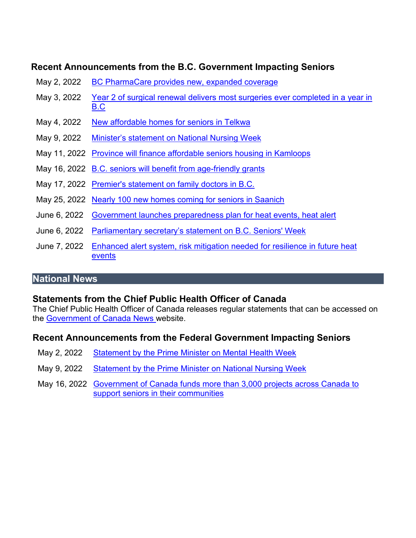# **Recent Announcements from the B.C. Government Impacting Seniors**

- May 2, 2022 BC PharmaCare [provides new, expanded coverage](https://news.gov.bc.ca/releases/2022HLTH0130-000670)
- May 3, 2022 [Year 2 of surgical renewal delivers most surgeries ever completed in a year in](https://news.gov.bc.ca/releases/2022HLTH0134-000708)  [B.C](https://news.gov.bc.ca/releases/2022HLTH0134-000708)
- May 4, 2022 [New affordable homes for seniors in Telkwa](https://news.gov.bc.ca/stories/new-affordable-homes-for-seniors-in-telkwa)
- May 9, 2022 [Minister's statement on National Nursing Week](https://news.gov.bc.ca/releases/2022HLTH0135-000729)
- May 11, 2022 [Province will finance affordable seniors housing in Kamloops](https://news.gov.bc.ca/releases/2022AG0074-000742)
- May 16, 2022 [B.C. seniors will benefit from age-friendly grants](https://news.gov.bc.ca/releases/2022HLTH0140-000755)
- May 17, 2022 [Premier's statement on family doctors in B.C.](https://news.gov.bc.ca/releases/2022PREM0032-000775)
- May 25, 2022 [Nearly 100 new homes coming for seniors in Saanich](https://news.bchousing.org/nearly-100-new-homes-coming-for-seniors-in-saanich/)
- June 6, 2022 [Government launches preparedness plan for heat events, heat alert](https://news.gov.bc.ca/releases/2022PSSG0035-000904)
- June 6, 2022 [Parliamentary secretary's statement on B.C. Seniors' Week](https://news.gov.bc.ca/releases/2022HLTH0149-000887)
- June 7, 2022 [Enhanced alert system, risk mitigation needed for resilience in future heat](https://news.gov.bc.ca/releases/2022PSSG0042-000903)  [events](https://news.gov.bc.ca/releases/2022PSSG0042-000903)

# **National News**

# **Statements from the Chief Public Health Officer of Canada**

The Chief Public Health Officer of Canada releases regular statements that can be accessed on the [Government of Canada News w](https://www.canada.ca/en/news.html)ebsite.

# **Recent Announcements from the Federal Government Impacting Seniors**

- May 2, 2022 [Statement by the Prime Minister on Mental Health Week](https://pm.gc.ca/en/news/statements/2022/05/02/statement-prime-minister-mental-health-week)
- May 9, 2022 [Statement by the Prime Minister on National Nursing Week](https://pm.gc.ca/en/news/statements/2022/05/09/statement-prime-minister-national-nursing-week)
- May 16, 2022 [Government of Canada funds more than 3,000 projects across Canada to](https://www.canada.ca/en/employment-social-development/news/2022/05/government-of-canada-funds-more-than-3000projects-across-canada-to-support-seniors-in-their-communities.html)  [support seniors in their communities](https://www.canada.ca/en/employment-social-development/news/2022/05/government-of-canada-funds-more-than-3000projects-across-canada-to-support-seniors-in-their-communities.html)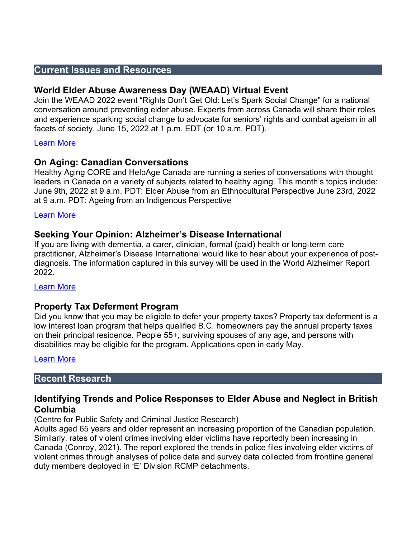# **Current Issues and Resources**

# **World Elder Abuse Awareness Day (WEAAD) Virtual Event**

Join the WEAAD 2022 event "Rights Don't Get Old: Let's Spark Social Change" for a national conversation around preventing elder abuse. Experts from across Canada will share their roles and experience sparking social change to advocate for seniors' rights and combat ageism in all facets of society. June 15, 2022 at 1 p.m. EDT (or 10 a.m. PDT).

### [Learn More](https://www.weaad.ca/)

# **On Aging: Canadian Conversations**

Healthy Aging CORE and HelpAge Canada are running a series of conversations with thought leaders in Canada on a variety of subjects related to healthy aging. This month's topics include: June 9th, 2022 at 9 a.m. PDT: Elder Abuse from an Ethnocultural Perspective June 23rd, 2022 at 9 a.m. PDT: Ageing from an Indigenous Perspective

### [Learn More](https://uwbc-ca.zoom.us/webinar/register/WN_5lPyAZN-TwKCzDYl7n-nMQ)

# **Seeking Your Opinion: Alzheimer's Disease International**

If you are living with dementia, a carer, clinician, formal (paid) health or long-term care practitioner, Alzheimer's Disease International would like to hear about your experience of postdiagnosis. The information captured in this survey will be used in the World Alzheimer Report 2022.

### [Learn More](https://www.alzint.org/news-events/news/we-need-to-hear-about-your-experience-of-post-diagnosis/)

### **Property Tax Deferment Program**

Did you know that you may be eligible to defer your property taxes? Property tax deferment is a low interest loan program that helps qualified B.C. homeowners pay the annual property taxes on their principal residence. People 55+, surviving spouses of any age, and persons with disabilities may be eligible for the program. Applications open in early May.

### [Learn More](https://www.seniorsadvocatebc.ca/app/uploads/sites/4/2022/05/NR-Property-Tax-Deferral-Program-Awareness-May-6-Final.pdf)

### **Recent Research**

# **Identifying Trends and Police Responses to Elder Abuse and Neglect in British Columbia**

(Centre for Public Safety and Criminal Justice Research)

Adults aged 65 years and older represent an increasing proportion of the Canadian population. Similarly, rates of violent crimes involving elder victims have reportedly been increasing in Canada (Conroy, 2021). The report explored the trends in police files involving elder victims of violent crimes through analyses of police data and survey data collected from frontline general duty members deployed in 'E' Division RCMP detachments.